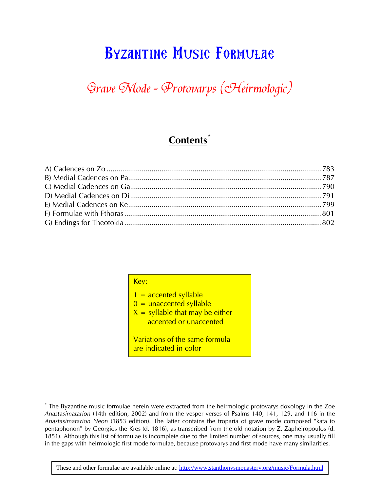# Byzantine Music Formulae

# Grave Mode - Protovarys (Heirmologic)

### **Contents\***

| Key:                                                                                                              |
|-------------------------------------------------------------------------------------------------------------------|
| 1 = accented syllable<br>$0 =$ unaccented syllable<br>$X =$ syllable that may be either<br>accented or unaccented |
| Variations of the same formula<br>are indicated in color                                                          |

1

<sup>\*</sup> The Byzantine music formulae herein were extracted from the heirmologic protovarys doxology in the Zoe *Anastasimatarion* (14th edition, 2002) and from the vesper verses of Psalms 140, 141, 129, and 116 in the *Anastasimatarion Neon* (1853 edition). The latter contains the troparia of grave mode composed "kata to pentaphonon" by Georgios the Kres (d. 1816), as transcribed from the old notation by Z. Zapheiropoulos (d. 1851). Although this list of formulae is incomplete due to the limited number of sources, one may usually fill in the gaps with heirmologic first mode formulae, because protovarys and first mode have many similarities.

These and other formulae are available online at: http://www.stanthonysmonastery.org/music/Formula.html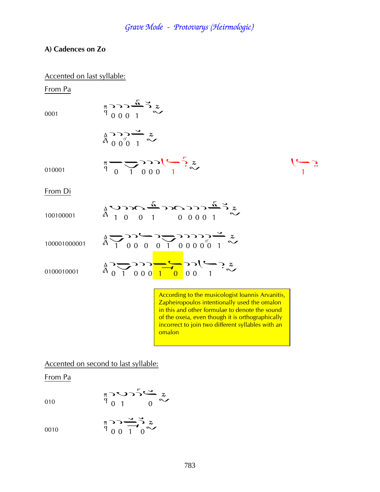$\frac{\pi}{9}$   $\frac{1}{1}$   $\frac{1}{0}$   $\frac{1}{1}$   $\frac{1}{1}$   $\frac{2}{1}$ 

¢

#### **A) Cadences on Zo**

#### Accented on last syllable:

 $\frac{\pi}{q}$ 

From Pa

0001

$$
\begin{array}{c}\n\sim \\
\sim \\
0\ 0\ 0\ 1\n\end{array}
$$

$$
\underset{\stackrel{\Delta}{\alpha}}{\overset{\Delta}{\beta}} \underset{0}{\overset{\Delta}{\gamma}} \underset{0}{\overset{\Delta}{\gamma}} \underset{1}{\overset{\Delta}{\sim}} \underset{\sim}{\overset{z}{\sim}}
$$

010001

From Di

| 100100001    | $\frac{1}{4}$                                                                                                                                                                                                                                                                                                      |
|--------------|--------------------------------------------------------------------------------------------------------------------------------------------------------------------------------------------------------------------------------------------------------------------------------------------------------------------|
| 100001000001 | $\frac{1}{9}$                                                                                                                                                                                                                                                                                                      |
| 0100010001   | $\frac{2}{9}$ $\frac{1}{9}$ $\frac{1}{9}$ $\frac{1}{9}$ $\frac{1}{1}$ $\frac{1}{10}$ $\frac{1}{10}$ $\frac{1}{10}$ $\frac{1}{10}$ $\frac{1}{10}$ $\frac{1}{10}$ $\frac{1}{10}$ $\frac{1}{10}$ $\frac{1}{10}$ $\frac{1}{10}$ $\frac{1}{10}$ $\frac{1}{10}$ $\frac{1}{10}$ $\frac{1}{10}$ $\frac{1}{10}$ $\frac{1}{$ |
|              | According to the musicologist Ioannis                                                                                                                                                                                                                                                                              |

Arvanitis, Zapheiropoulos intentionally used the omalon in this and other formulae to denote the sound of the oxeia, even though it is orthographically incorrect to join two different syllables with an omalon

Accented on second to last syllable:

From Pa

010

$$
\begin{array}{c}\n\pi \sim 2 \sim 5 \stackrel{\sim}{\sim} x \\
\uparrow 0 & 1\n\end{array}
$$

$$
\begin{array}{ccc}\n& & & \pi & & \searrow & \searrow & \searrow & \searrow & \\
& & & & \uparrow & & \searrow & \\
& & & & \uparrow & & \searrow & \\
& & & & \uparrow & & \searrow & \\
& & & & & \uparrow & & \searrow & \\
& & & & & \uparrow & & \searrow & \\
& & & & & \uparrow & & & \searrow & \\
& & & & & \uparrow & & & \searrow & \\
& & & & & \uparrow & & & \searrow & \\
& & & & & \uparrow & & & \searrow & \\
& & & & & \uparrow & & & \searrow & & \searrow & \\
& & & & & & \uparrow & & & \searrow & & \searrow & \\
& & & & & & \uparrow & & & & \searrow & & \searrow & \\
& & & & & & \uparrow & & & & \searrow & & \searrow & \\
& & & & & & \uparrow & & & & \searrow & & & \searrow & \\
& & & & & & \uparrow & & & & \searrow & & & \searrow & & \searrow & \\
& & & & & & & \uparrow & & & & \searrow & & & \searrow & & & \searrow & & \\
& & & & & & & \uparrow & & & & \searrow & & & \searrow & & & \searrow & & & \searrow & \\
& & & & & & & \uparrow & & & & \searrow & & & \searrow & & & \searrow & & & \searrow & & & \searrow & & & \searrow & & & \searrow & & & \searrow & & & \searrow & & & \searrow & & & \searrow & & & \searrow & & & & \searrow & & & & \searrow & & & & \searrow & & & & \searrow & & & & & \searrow & & & & & \searrow & & & & & \searrow & & & & & \searrow & & & & & \searrow & & & & & \searrow & & & & & \searrow & & & & & \searrow & & & & & \searrow & & & & & \searrow & & & & & & \searrow & & & & & & \searrow & & & & & & \searrow & & & & & & \searrow & & & & & & \searrow & & & & & & \searrow & & & & & & \searrow & & & & & & \searrow & & & & & & \searrow & & & & & & \searrow & & & & & & \searrow & & & & & & \searrow & & & & & & \searrow & & & & & & \searrow & & & & & & \searrow & & & & & & \searrow & & & & & & \searrow & & & & & & \searrow & & & & & & \searrow & & & & & & \searrow & & & & & & \searrow &
$$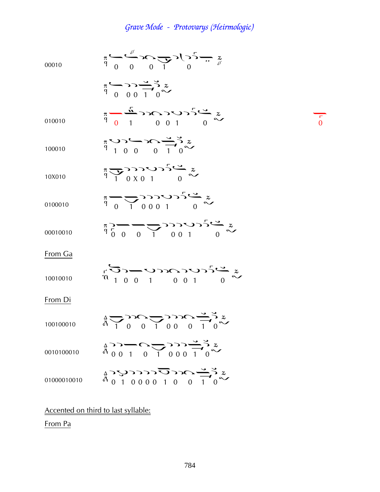00010 ¤¤ à¢ ¦ ¤¦¦¢ ¦ 010010 ¤ ¢à¦Þ ¤ 100010 Þ¦¤à¢ ¦ 10X010 ¢ ¦»¦Þ ¤ 0100010 ¤¢ ¦¦¦Þ ¤ 00010010 ¦¤¤¢ ¦¦Þ ¤ From Ga 10010010 Þ¦¤Þà¦Þ ¤ From Di 100100010 ¢ ¦à¢ ¦¦ à¢ ¦ 0010100010 ¦¦¢à¢ ¦¦¦¢ ¦ 01000010010 ¦Þ¦¦¦¦Þ¦à¢ ¦

### Accented on third to last syllable:

From Pa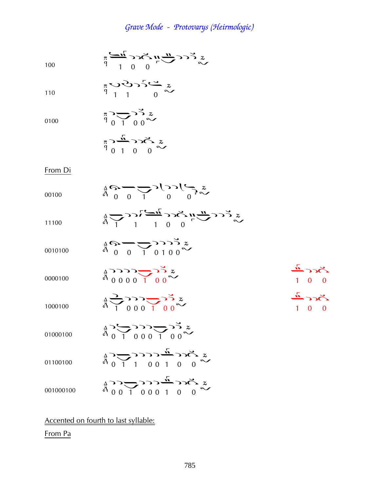$$
\sum_{100}^{\infty} \sum_{i=1}^{n} \sum_{j=0}^{n} \sum_{j=0}^{n} \sum_{j=0}^{n} \sum_{j=0}^{n} \sum_{j=0}^{n} \sum_{j=0}^{n} \sum_{j=0}^{n} \sum_{j=0}^{n} \sum_{j=0}^{n} \sum_{j=0}^{n} \sum_{j=0}^{n} \sum_{j=0}^{n} \sum_{j=0}^{n} \sum_{j=0}^{n} \sum_{j=0}^{n} \sum_{j=0}^{n} \sum_{j=0}^{n} \sum_{j=0}^{n} \sum_{j=0}^{n} \sum_{j=0}^{n} \sum_{j=0}^{n} \sum_{j=0}^{n} \sum_{j=0}^{n} \sum_{j=0}^{n} \sum_{j=0}^{n} \sum_{j=0}^{n} \sum_{j=0}^{n} \sum_{j=0}^{n} \sum_{j=0}^{n} \sum_{j=0}^{n} \sum_{j=0}^{n} \sum_{j=0}^{n} \sum_{j=0}^{n} \sum_{j=0}^{n} \sum_{j=0}^{n} \sum_{j=0}^{n} \sum_{j=0}^{n} \sum_{j=0}^{n} \sum_{j=0}^{n} \sum_{j=0}^{n} \sum_{j=0}^{n} \sum_{j=0}^{n} \sum_{j=0}^{n} \sum_{j=0}^{n} \sum_{j=0}^{n} \sum_{j=0}^{n} \sum_{j=0}^{n} \sum_{j=0}^{n} \sum_{j=0}^{n} \sum_{j=0}^{n} \sum_{j=0}^{n} \sum_{j=0}^{n} \sum_{j=0}^{n} \sum_{j=0}^{n} \sum_{j=0}^{n} \sum_{j=0}^{n} \sum_{j=0}^{n} \sum_{j=0}^{n} \sum_{j=0}^{n} \sum_{j=0}^{n} \sum_{j=0}^{n} \sum_{j=0}^{n} \sum_{j=0}^{n} \sum_{j=0}^{n} \sum_{j=0}^{n} \sum_{j=0}^{n} \sum_{j=0}^{n} \sum_{j=0}^{n} \sum_{j=0}^{n} \sum_{j=0}^{n} \sum_{j=0}^{n} \sum_{j=0}^{n} \sum_{j=0}^{n} \sum_{j=0}^{
$$

110

0100

$$
\sum_{\alpha=0}^{\infty} \sum_{\beta=0}^{\infty} \sum_{\beta=0}^{\infty} \tilde{r}_{\beta}^{\alpha}
$$

$$
\sum_{p=0}^{\infty} \sum_{r=0}^{\infty} c \cdot \frac{n}{p}
$$

 $\frac{\pi}{9}$   $\frac{3\pi}{1}$   $\frac{3\pi}{1}$   $\frac{3\pi}{1}$   $\frac{3\pi}{1}$ 

#### From Di

| 00100     | $\frac{1}{4}5 - \frac{1}{2}$ $\frac{1}{2}$ $\frac{1}{2}$ $\frac{1}{2}$ $\frac{1}{2}$                                                                                                                                                                                                                           |                                           |
|-----------|----------------------------------------------------------------------------------------------------------------------------------------------------------------------------------------------------------------------------------------------------------------------------------------------------------------|-------------------------------------------|
| 11100     | $\frac{1}{9}$                                                                                                                                                                                                                                                                                                  |                                           |
| 0010100   | $\frac{1}{4}$ $\bigcirc$ $\bigcirc$ $\bigcirc$ $\bigcirc$ $\bigcirc$ $\bigcirc$ $\bigcirc$ $\bigcirc$ $z$                                                                                                                                                                                                      |                                           |
| 0000100   | $\frac{1}{4}$ $\frac{1}{2}$ $\frac{1}{2}$ $\frac{1}{2}$ $\frac{1}{2}$ $\frac{1}{2}$ $\frac{1}{2}$                                                                                                                                                                                                              | $2c<\frac{\pi}{2}$<br>$1 \quad 0 \quad 0$ |
| 1000100   | $\frac{1}{4}$ $\frac{1}{2}$ $\frac{1}{2}$ $\frac{1}{2}$ $\frac{1}{2}$ $\frac{1}{2}$ $\frac{1}{2}$ $\frac{1}{2}$ $\frac{1}{2}$                                                                                                                                                                                  | $\zeta_{CC}$<br>$1 \quad 0 \quad 0$       |
| 01000100  | $\sum_{\substack{a\\b}}^{x} \sum_{\substack{c\\c\\c}}^{c} \sum_{\substack{c\\c\\c}}^{c} \sum_{\substack{c\\c\\d\\c}}^{c} \sum_{\substack{c\\c\\d\\c}}^{c}$                                                                                                                                                     |                                           |
| 01100100  | $\frac{1}{4}$ $\sum_{1}^{1}$ $\sum_{1}^{1}$ $\sum_{1}^{1}$ $\sum_{1}^{1}$ $\sum_{1}^{1}$ $\sum_{1}^{1}$ $\sum_{1}^{1}$ $\sum_{1}^{1}$ $\sum_{1}^{1}$ $\sum_{1}^{1}$ $\sum_{1}^{1}$ $\sum_{1}^{1}$ $\sum_{1}^{1}$ $\sum_{1}^{1}$ $\sum_{1}^{1}$ $\sum_{1}^{1}$ $\sum_{1}^{1}$ $\sum_{1}^{1}$ $\sum_{1}^{1}$ $\$ |                                           |
| 001000100 | $\frac{1}{6}$ $\sum_{1}^{6}$ $\sum_{1}^{6}$ $\sum_{1}^{6}$ $\sum_{1}^{6}$ $\sum_{1}^{6}$ $\sum_{1}^{6}$ $\sum_{1}^{6}$ $\sum_{1}^{6}$ $\sum_{1}^{6}$ $\sum_{1}^{6}$ $\sum_{1}^{6}$ $\sum_{1}^{6}$ $\sum_{1}^{6}$ $\sum_{1}^{6}$ $\sum_{1}^{6}$ $\sum_{1}^{6}$ $\sum_{1}^{6}$ $\sum_{1}^{6}$ $\sum_{1}^{6}$ $\$ |                                           |

### Accented on fourth to last syllable:

### From Pa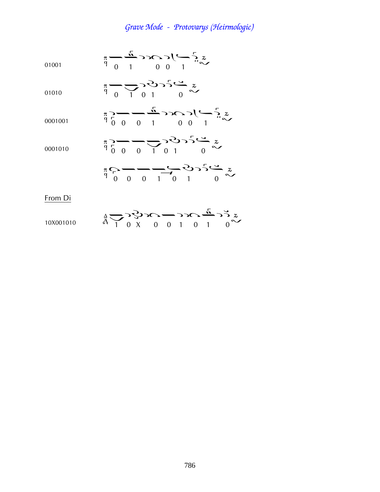01001 
$$
\pi \rightarrow \frac{\pi}{1}
$$
 0 0 1  $\sim$  1  $\sim$ 

01010  $\frac{\pi}{9}$   $\frac{1}{1}$   $\frac{1}{0}$   $\frac{1}{1}$   $\frac{1}{0}$   $\frac{2}{1}$ 

$$
\begin{array}{ccc}\n\pi > & \longrightarrow & \pi \\
\pi > & & \longrightarrow & \pi \\
\pi & & & & \longrightarrow & \pi\n\end{array}
$$

0001010 
$$
\pi \rightarrow 0
$$
  $\pi \rightarrow 0$   $\pi \rightarrow 0$   $\pi \rightarrow 0$   $\pi \rightarrow 0$ 

$$
\pi_{\widehat{q}} \sum_{i=0}^{\infty} \frac{1}{i} \sum_{i=0}^{\infty} \frac{1}{i} \sum_{i=0}^{\infty} \frac{1}{i} \sum_{i=0}^{\infty} \frac{1}{i} \sum_{i=0}^{\infty} \frac{1}{i} \sum_{i=0}^{\infty} \frac{1}{i} \sum_{i=0}^{\infty} \frac{1}{i} \sum_{i=0}^{\infty} \frac{1}{i} \sum_{i=0}^{\infty} \frac{1}{i} \sum_{i=0}^{\infty} \frac{1}{i} \sum_{i=0}^{\infty} \frac{1}{i} \sum_{i=0}^{\infty} \frac{1}{i} \sum_{i=0}^{\infty} \frac{1}{i} \sum_{i=0}^{\infty} \frac{1}{i} \sum_{i=0}^{\infty} \frac{1}{i} \sum_{i=0}^{\infty} \frac{1}{i} \sum_{i=0}^{\infty} \frac{1}{i} \sum_{i=0}^{\infty} \frac{1}{i} \sum_{i=0}^{\infty} \frac{1}{i} \sum_{i=0}^{\infty} \frac{1}{i} \sum_{i=0}^{\infty} \frac{1}{i} \sum_{i=0}^{\infty} \frac{1}{i} \sum_{i=0}^{\infty} \frac{1}{i} \sum_{i=0}^{\infty} \frac{1}{i} \sum_{i=0}^{\infty} \frac{1}{i} \sum_{i=0}^{\infty} \frac{1}{i} \sum_{i=0}^{\infty} \frac{1}{i} \sum_{i=0}^{\infty} \frac{1}{i} \sum_{i=0}^{\infty} \frac{1}{i} \sum_{i=0}^{\infty} \frac{1}{i} \sum_{i=0}^{\infty} \frac{1}{i} \sum_{i=0}^{\infty} \frac{1}{i} \sum_{i=0}^{\infty} \frac{1}{i} \sum_{i=0}^{\infty} \frac{1}{i} \sum_{i=0}^{\infty} \frac{1}{i} \sum_{i=0}^{\infty} \frac{1}{i} \sum_{i=0}^{\infty} \frac{1}{i} \sum_{i=0}^{\infty} \frac{1}{i} \sum_{i=0}^{\infty} \frac{1}{i} \sum_{i=0}^{\in
$$

From Di

0001001

10X001010 
$$
\hat{a} \sum_{1} 2 \sum_{1} 0 \times 0 = 0
$$
 1 0 1 0  $\sim$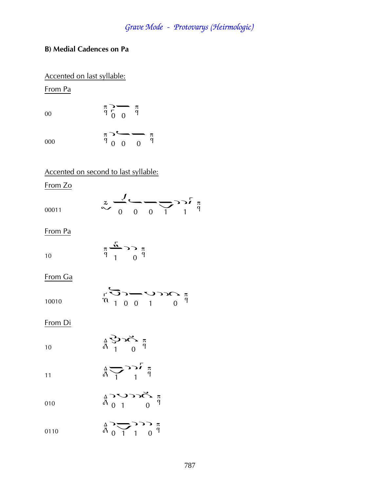#### **B) Medial Cadences on Pa**

#### Accented on last syllable:

From Pa

00

000  $\frac{\pi}{9}$  0 0 0  $\frac{\pi}{9}$ 

Accented on second to last syllable:

 $\frac{\pi}{9}$   $\frac{1}{0}$   $\frac{\pi}{9}$ 

From Zo

 $\sim 0.00011$   $\sim 0.00011$   $\frac{2}{9}$ 

From Pa

|    |  | $\pi \stackrel{\text{in}}{\longrightarrow}$ $\sup$ $\pi$ |  |
|----|--|----------------------------------------------------------|--|
| 10 |  | $9^{9}$ 1 0 $9^{9}$                                      |  |

From Ga

|       |  |  | $\pi \Omega^{\bullet} \mathbf{C} \mathbf{C} \mathbf{C}^{-1} \mathbf{C} \mathbf{C} \mathbf{C}^{-1}$                                  |  |
|-------|--|--|-------------------------------------------------------------------------------------------------------------------------------------|--|
| 10010 |  |  | $\begin{array}{cccc} \n\mathfrak{m} & 1 & 0 & 0 & 1 \n\end{array}$ 0 $\begin{array}{cccc} \n\mathfrak{q} & 0 & 0 & 0 \n\end{array}$ |  |

From Di

10  $\sum_{\substack{\alpha \\ p \text{ odd}}}$ 

- 11  $\frac{4}{9}$   $\frac{6}{1}$   $\frac{6}{1}$   $\frac{\pi}{9}$
- 010  $\frac{1}{4}$  $\sum_{1}^{6}$
- 0110  $\frac{4}{9}$   $\frac{1}{1}$   $\frac{3}{9}$   $\frac{4}{9}$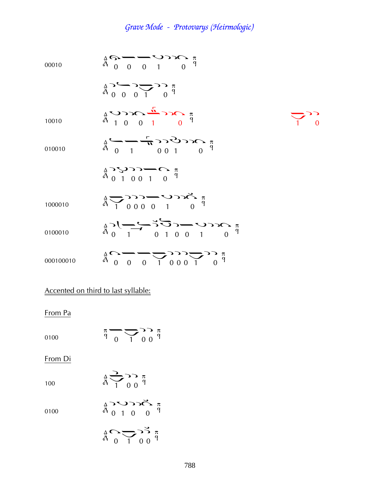00010  
\n
$$
\hat{A}^{2} = \vec{C}^{2} = \vec{C}^{2} = \vec{C}^{2} = \vec{C}^{2} = \vec{C}^{2} = \vec{C}^{2} = \vec{C}^{2} = \vec{C}^{2} = \vec{C}^{2} = \vec{C}^{2} = \vec{C}^{2} = \vec{C}^{2} = \vec{C}^{2} = \vec{C}^{2} = \vec{C}^{2} = \vec{C}^{2} = \vec{C}^{2} = \vec{C}^{2} = \vec{C}^{2} = \vec{C}^{2} = \vec{C}^{2} = \vec{C}^{2} = \vec{C}^{2} = \vec{C}^{2} = \vec{C}^{2} = \vec{C}^{2} = \vec{C}^{2} = \vec{C}^{2} = \vec{C}^{2} = \vec{C}^{2} = \vec{C}^{2} = \vec{C}^{2} = \vec{C}^{2} = \vec{C}^{2} = \vec{C}^{2} = \vec{C}^{2} = \vec{C}^{2} = \vec{C}^{2} = \vec{C}^{2} = \vec{C}^{2} = \vec{C}^{2} = \vec{C}^{2} = \vec{C}^{2} = \vec{C}^{2} = \vec{C}^{2} = \vec{C}^{2} = \vec{C}^{2} = \vec{C}^{2} = \vec{C}^{2} = \vec{C}^{2} = \vec{C}^{2} = \vec{C}^{2} = \vec{C}^{2} = \vec{C}^{2} = \vec{C}^{2} = \vec{C}^{2} = \vec{C}^{2} = \vec{C}^{2} = \vec{C}^{2} = \vec{C}^{2} = \vec{C}^{2} = \vec{C}^{2} = \vec{C}^{2} = \vec{C}^{2} = \vec{C}^{2} = \vec{C}^{2} = \vec{C}^{2} = \vec{C}^{2} = \vec{C}^{2} = \vec{C}^{2} = \vec{C}^{2} = \vec{C}^{2} = \vec{C}^{2} = \vec{C}^{2} = \vec{C}^{2} = \vec{C}^{2} = \vec{C}^{2} = \vec{C}^{2} = \vec{C}^{2} = \vec{C}^{2} = \vec{C}^{2} = \vec{C}^{2} = \vec{C}^{2}
$$

# Accented on third to last syllable:

From Pa

0100  $\frac{\pi}{9}$   $\frac{1}{1}$  0 0  $\frac{\pi}{9}$ 

From Di

| 100 |  | $\frac{1}{1}$ $\frac{1}{0}$ $\frac{\pi}{9}$ |  |
|-----|--|---------------------------------------------|--|
|     |  |                                             |  |

0100  $\begin{array}{c}\n\stackrel{\triangle}{\wedge}\n\stackrel{\triangle}{\vee}\n\stackrel{\triangle}{\vee}\n\stackrel{\triangle}{\vee}\n\stackrel{\triangle}{\vee}\n\stackrel{\triangle}{\vee}\n\stackrel{\triangle}{\vee}\n\end{array}$ 

$$
\mathop{\mathbb{A}}\limits^{\Delta}_0 \mathop{\bigtriangledown\hspace{0.25em}}\limits^{\Delta}_0 \mathop{\bigtriangledown\hspace{0.25em}}\limits^{\Delta}_0 \mathop{\mathbb{A}}\limits^{\Delta}_0 \mathop{\mathbb{A}}\limits^{\pi}_1
$$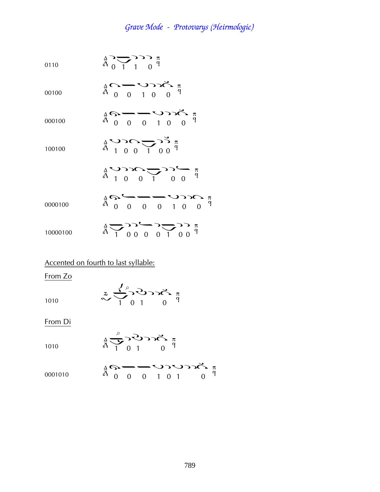$$
\begin{array}{ccc}\n0110 & \stackrel{\Delta}{\longrightarrow} & \stackrel{\Delta}{\longrightarrow} & \stackrel{\pi}{\longrightarrow} \\
0 & 1 & 0 & 0\n\end{array}
$$

00100

à¤Þ¦à

000100

$$
\frac{1}{4}G - 0 \quad 0 \quad 1 \quad 0 \quad 0
$$
\n
$$
= 0
$$

100100 
$$
\stackrel{A}{\stackrel{\frown}{A}} \stackrel{\frown}{\phantom{}_{A}} \stackrel{\frown}{\phantom{}_{A}} \stackrel{\frown}{\phantom{}_{A}} \stackrel{\frown}{\phantom{}_{A}} \stackrel{\frown}{\phantom{}_{A}} \stackrel{\frown}{\phantom{}_{A}} \stackrel{\frown}{\phantom{}_{A}} \stackrel{\frown}{\phantom{}_{A}} \stackrel{\frown}{\phantom{}_{A}} \stackrel{\frown}{\phantom{}_{A}} \stackrel{\frown}{\phantom{}_{A}} \stackrel{\frown}{\phantom{}_{A}} \stackrel{\frown}{\phantom{}_{A}} \stackrel{\frown}{\phantom{}_{A}} \stackrel{\frown}{\phantom{}_{A}} \stackrel{\frown}{\phantom{}_{A}} \stackrel{\frown}{\phantom{}_{A}} \stackrel{\frown}{\phantom{}_{A}} \stackrel{\frown}{\phantom{}_{A}} \stackrel{\frown}{\phantom{}_{A}} \stackrel{\frown}{\phantom{}_{A}} \stackrel{\frown}{\phantom{}_{A}} \stackrel{\frown}{\phantom{}_{A}} \stackrel{\frown}{\phantom{}_{A}} \stackrel{\frown}{\phantom{}_{A}} \stackrel{\frown}{\phantom{}_{A}} \stackrel{\frown}{\phantom{}_{A}} \stackrel{\frown}{\phantom{}_{A}} \stackrel{\frown}{\phantom{}_{A}} \stackrel{\frown}{\phantom{}_{A}} \stackrel{\frown}{\phantom{}_{A}} \stackrel{\frown}{\phantom{}_{A}} \stackrel{\frown}{\phantom{}_{A}} \stackrel{\frown}{\phantom{}_{A}} \stackrel{\frown}{\phantom{}_{A}} \stackrel{\frown}{\phantom{}_{A}} \stackrel{\frown}{\phantom{}_{A}} \stackrel{\frown}{\phantom{}_{A}} \stackrel{\frown}{\phantom{}_{A}} \stackrel{\frown}{\phantom{}_{A}} \stackrel{\frown}{\phantom{}_{A}} \stackrel{\frown}{\phantom{}_{A}} \stackrel{\frown}{\phantom{}_{A}} \stackrel{\frown}{\phantom{}_{A}} \stackrel{\frown}{\phantom{}_{A}} \stackrel{\frown}{\phantom{}_{A}} \stackrel{\frown}{\phantom{}_{A}} \stackrel{\frown}{\phantom{}_{A}} \stackrel{\frown}{\phantom{}_{A}} \stackrel{\frown}{\phantom{}_{A}} \stackrel{\frown}{\phantom{}_{A}} \stackrel{\frown}{\phantom{}_{A}} \stackrel{\frown}{\phantom{}_{A}}
$$

Þ¦à¢ ¦¤ à¤¤¤Þ¦à

0000100

10000100 ¢ ¦¦¤¦¢ ¦¦

#### Accented on fourth to last syllable:

From Zo

$$
\approx \frac{\sqrt{2}}{1} \int_{0}^{\rho} 2\sigma \sqrt{2} \int_{0}^{\pi}
$$

From Di

1010

<sup>1010</sup> ¢

$$
\frac{a}{b} \sum_{i=1}^{b} \sum_{j=1}^{c} \sum_{j=1}^{c} \sum_{j=1}^{d} \sum_{j=1}^{d} \sum_{j=1}^{d} \sum_{j=1}^{d} \sum_{j=1}^{d} \sum_{j=1}^{d} \sum_{j=1}^{d} \sum_{j=1}^{d} \sum_{j=1}^{d} \sum_{j=1}^{d} \sum_{j=1}^{d} \sum_{j=1}^{d} \sum_{j=1}^{d} \sum_{j=1}^{d} \sum_{j=1}^{d} \sum_{j=1}^{d} \sum_{j=1}^{d} \sum_{j=1}^{d} \sum_{j=1}^{d} \sum_{j=1}^{d} \sum_{j=1}^{d} \sum_{j=1}^{d} \sum_{j=1}^{d} \sum_{j=1}^{d} \sum_{j=1}^{d} \sum_{j=1}^{d} \sum_{j=1}^{d} \sum_{j=1}^{d} \sum_{j=1}^{d} \sum_{j=1}^{d} \sum_{j=1}^{d} \sum_{j=1}^{d} \sum_{j=1}^{d} \sum_{j=1}^{d} \sum_{j=1}^{d} \sum_{j=1}^{d} \sum_{j=1}^{d} \sum_{j=1}^{d} \sum_{j=1}^{d} \sum_{j=1}^{d} \sum_{j=1}^{d} \sum_{j=1}^{d} \sum_{j=1}^{d} \sum_{j=1}^{d} \sum_{j=1}^{d} \sum_{j=1}^{d} \sum_{j=1}^{d} \sum_{j=1}^{d} \sum_{j=1}^{d} \sum_{j=1}^{d} \sum_{j=1}^{d} \sum_{j=1}^{d} \sum_{j=1}^{d} \sum_{j=1}^{d} \sum_{j=1}^{d} \sum_{j=1}^{d} \sum_{j=1}^{d} \sum_{j=1}^{d} \sum_{j=1}^{d} \sum_{j=1}^{d} \sum_{j=1}^{d} \sum_{j=1}^{d} \sum_{j=1}^{d} \sum_{j=1}^{d} \sum_{j=1}^{d} \sum_{j=1}^{d} \sum_{j=1}^{d} \sum_{j=1}^{d} \sum_{j=1}^{d} \sum_{j=1}^{d} \sum_{j=1}^{d} \sum_{j=1}^{d} \sum_{
$$

$$
\begin{array}{ccc}\n\frac{1}{4} & \mathcal{O} & -\mathcal{O} & \mathcal{O} & \mathcal{O} & \pi \\
\frac{1}{4} & 0 & 0 & 1 & 0 & 1\n\end{array}
$$
\n
$$
\begin{array}{ccc}\n\frac{1}{4} & \mathcal{O} & \mathcal{O} & \mathcal{O} & \mathcal{O} & \pi \\
\frac{1}{4} & 0 & 0 & 0 & 1 & 0 & 1\n\end{array}
$$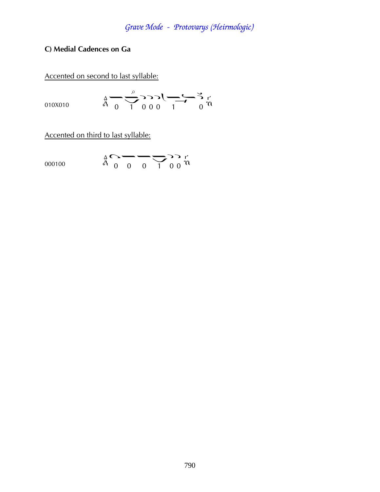#### C) Medial Cadences on Ga

Accented on second to last syllable:

$$
\vec{r} = \frac{2}{3} \sum_{n=0}^{\infty} \sum_{n=0}^{\infty} \sum_{n=0}^{\infty} \vec{r} = 0.00 \times 100000
$$

Accented on third to last syllable:

$$
\vec{h} \cdot \vec{h} = \vec{h} \cdot \vec{h}
$$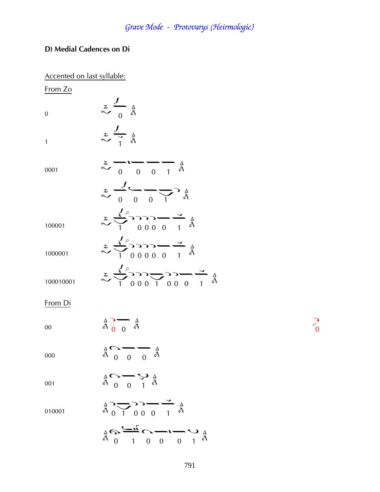#### **D) Medial Cadences on Di**

| Accented on last syllable: |                                                                                                                                               |
|----------------------------|-----------------------------------------------------------------------------------------------------------------------------------------------|
| From Zo                    |                                                                                                                                               |
| $\mathbf{0}$               | $\sim \frac{z}{0}$ $\frac{4}{9}$                                                                                                              |
| $\mathbf{1}$               | $\frac{z}{\sim}$ $\frac{1}{i}$ $\frac{1}{i}$                                                                                                  |
| 0001                       | $\sim$ 0 0 1 $\frac{1}{9}$                                                                                                                    |
|                            | $\frac{z}{\sim}$                                                                                                                              |
| 100001                     | $z \rightarrow 00001 \frac{1}{9}$                                                                                                             |
| 1000001                    | $z \rightarrow 2$<br>$\rightarrow 2$<br>$\rightarrow 0$<br>$\rightarrow 0$<br>$\rightarrow 0$<br>$\rightarrow 0$<br>$\rightarrow 0$           |
| 100010001                  | $z \rightarrow 2$<br>$\rightarrow 3$<br>$z \rightarrow 3$<br>$z \rightarrow 0$<br>$z \rightarrow 0$<br>$z \rightarrow 4$<br>$z \rightarrow 0$ |
| From Di                    |                                                                                                                                               |
| 00                         | $\frac{4}{9}$ $\frac{1}{9}$ $\frac{4}{9}$                                                                                                     |

000  $\label{eq:2.1} \begin{array}{ccccc} \Delta & \bullet & \bullet & \bullet & \bullet \\ \tilde{A} & 0 & 0 & 0 & \tilde{A} \end{array}$ 

$$
\begin{array}{ccc}\n\stackrel{\Delta}{\circ} & \stackrel{\Delta}{\circ} & \stackrel{\Delta}{\circ} \\
\stackrel{\Delta}{\circ} & 0 & 1\n\end{array}
$$

010001  $\frac{4}{9}$   $\frac{1}{1}$  0 0 0 1  $\frac{4}{9}$ 

$$
\underset{\stackrel{\Delta}{\partial t}}{\triangleq} \underset{0}{\underbrace{\sim}} \underset{1}{\underbrace{\sim}} \underset{0}{\underbrace{\sim}} \underset{0}{\underbrace{\sim}} \underset{0}{\underbrace{\sim}} \underset{1}{\underbrace{\sim}} \underset{\stackrel{\Delta}{\partial t}}{\underbrace{\sim}}
$$

 $\sum_{\infty}^{\infty}$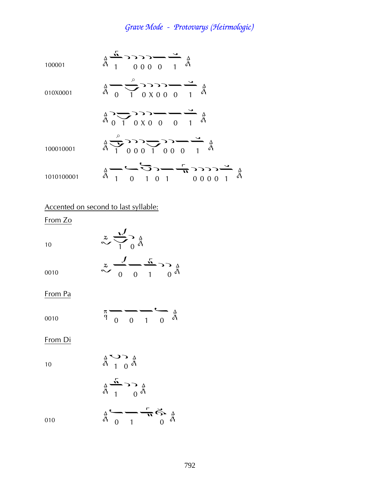100001  
\n
$$
\frac{A}{A} \frac{A}{1} \frac{B}{0000} = \frac{B}{1} \frac{A}{A}
$$
\n010X0001  
\n
$$
\frac{A}{A} \frac{B}{0} = \frac{B}{0} \frac{B}{00000} = \frac{B}{1} \frac{A}{A}
$$
\n010X0001  
\n
$$
\frac{A}{A} \frac{B}{0} = \frac{B}{0} \frac{B}{0000} = \frac{B}{1} \frac{A}{A}
$$
\n100010001  
\n
$$
\frac{A}{A} \frac{B}{1} \frac{B}{0} = \frac{B}{0} \frac{B}{0} \frac{B}{0} = \frac{B}{1} \frac{A}{A}
$$
\n101010001  
\n
$$
\frac{A}{A} \frac{B}{1} \frac{B}{0} = \frac{B}{0} \frac{B}{0} = \frac{B}{0} \frac{B}{0} \frac{B}{0} = \frac{B}{0} \frac{B}{0} \frac{B}{0} = \frac{B}{0} \frac{B}{0} = \frac{B}{0} \frac{B}{0} = \frac{B}{0} \frac{B}{0} = \frac{B}{0} \frac{B}{0} = \frac{B}{0} \frac{B}{0} = \frac{B}{0} \frac{B}{0} = \frac{B}{0} \frac{B}{0} = \frac{B}{0} \frac{B}{0} = \frac{B}{0} \frac{B}{0} = \frac{B}{0} \frac{B}{0} = \frac{B}{0} \frac{B}{0} = \frac{B}{0} \frac{B}{0} = \frac{B}{0} \frac{B}{0} = \frac{B}{0} \frac{B}{0} = \frac{B}{0} \frac{B}{0} = \frac{B}{0} \frac{B}{0} = \frac{B}{0} \frac{B}{0} = \frac{B}{0} \frac{B}{0} = \frac{B}{0} \frac{B}{0} = \frac{B}{0} \frac{B}{0} = \frac{B}{0} \frac{B}{0} = \frac{B}{0} \frac{B}{0} = \frac{B}{0} \frac{B}{0} = \frac{B}{0} \frac{B}{0} = \frac{B}{0} \frac{B}{0} = \frac{B}{0} \frac{B}{0} = \frac{B}{0} \frac{
$$

Accented on second to last syllable:

From Zo

| 10   | $\boldsymbol{z}$<br>$\overline{a}$    |
|------|---------------------------------------|
|      | $\boldsymbol{z}$                      |
| 0010 | $\ddot{\ddot{\delta}}$<br>∩<br>1<br>7 |

 $\overline{a}$ 

From Pa

$$
\begin{array}{ccc}\n & \pi \\
 & 0 & 0 \\
 & 1 & 0\n\end{array}\n\begin{array}{c}\n & \Delta \\
 & \Delta \\
 & \Delta \\
 & \Delta \\
 & \Delta\n\end{array}
$$

From Di

10

¢¦ 010 ¤¢à

 $\frac{4}{9}$   $\sum_{1}^{9}$   $\frac{4}{9}$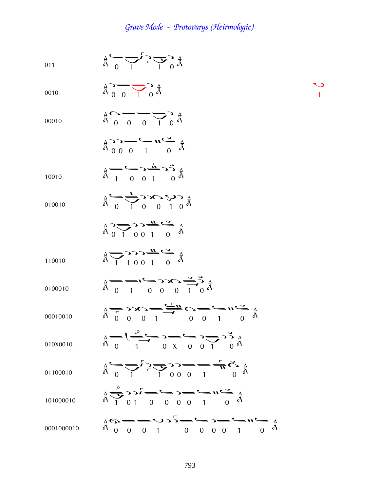$\bigvee_1$ 

011  
\n
$$
\frac{A}{A} \rightarrow \frac{C}{I} \rightarrow \frac{C}{I} \rightarrow \frac{A}{A}
$$
  
\n011  
\n011  
\n012  
\n013  
\n014  
\n015  
\n016  
\n017  
\n018  
\n019010  
\n01010  
\n01010  
\n01010  
\n01010  
\n01010  
\n01010  
\n01010  
\n01010  
\n01010  
\n01010  
\n01010  
\n01010  
\n01010  
\n01010  
\n01010  
\n01010  
\n010010  
\n010010  
\n01000  
\n010010  
\n010010  
\n01000  
\n010010  
\n01000  
\n01000  
\n010010  
\n01000  
\n01000  
\n01000  
\n01000  
\n01000  
\n01000  
\n01000  
\n01000  
\n01000  
\n01000  
\n01000  
\n01000  
\n01000  
\n01000  
\n01000  
\n01000  
\n01000  
\n01000  
\n01000  
\n01000  
\n01000  
\n01000  
\n01000  
\n01000  
\n01000  
\n01000  
\n01000  
\n01000  
\n01000  
\n01000  
\n01000  
\n01000  
\n01000  
\n01000  
\n01000  
\n01000  
\n01000  
\n01000  
\n01000  
\n01000  
\n01000  
\n01000  
\n01000  
\n01000  
\n01000  
\n01000  
\n01000  
\n01000  
\n01000  
\n01000  
\n01000  
\n01000  
\n01000  
\n01000  
\n01000  
\n0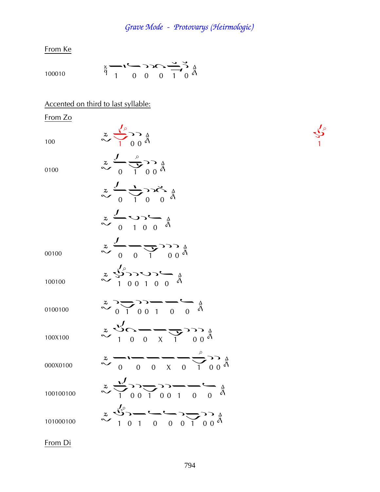From Ke

100010 
$$
\frac{x}{1}
$$
  $\frac{1}{1}$   $\frac{0}{0}$   $\frac{0}{0}$   $\frac{0}{1}$   $\frac{0}{0}$   $\frac{0}{0}$ 

Accented on third to last syllable:

From Zo  $\sim$   $\sqrt{1}$   $\frac{\lambda}{0}$   $\frac{\lambda}{0}$ 0100  $\sim \frac{2}{0}$   $\frac{1}{1}$   $\frac{1}{0}$   $\frac{1}{0}$  $\sim \frac{1}{0}$   $\frac{1}{0}$   $\sim$   $\frac{1}{0}$   $\frac{1}{0}$  $\begin{array}{c}\n\mathbf{z} & \mathbf{U} & \mathbf{0} & \mathbf{0} \\
\mathbf{z} & \mathbf{0} & \mathbf{0} & \mathbf{0} & \mathbf{0}\n\end{array}$ 00100  $\sim \frac{2}{0}$   $\sqrt{9}$   $\frac{1}{1}$   $\frac{1}{0}$   $\frac{1}{0}$  $\sim$   $\frac{2}{100100}$   $\frac{1}{900}$   $\frac{1}{900}$   $\frac{1}{900}$  $\frac{2}{\sqrt{1}} \cdot \frac{1}{\sqrt{1}} \cdot \frac{1}{\sqrt{1}} \cdot \frac{1}{\sqrt{1}} \cdot \frac{1}{\sqrt{1}}$  $\sim$  1 0 0 x 1 0 0  $\overset{2}{\sim}$   $\frac{1}{1}$   $\frac{1}{2}$   $\frac{1}{2}$   $\frac{1}{3}$ 000X0100  $\approx \frac{1}{0}$   $\frac{1}{0}$   $\frac{1}{0}$   $\frac{1}{0}$   $\frac{1}{0}$   $\frac{1}{0}$   $\frac{1}{0}$  $\sim$   $\frac{2}{100100100}$   $\sim$   $\frac{2}{100100}$   $\frac{1}{100100}$   $\frac{1}{100100}$  $\sim$  1 0 1 0 0 0 1 0 0  $^{4}$ 

 $\frac{1}{2}$ 

From Di

 $\ddot{\phantom{a}}$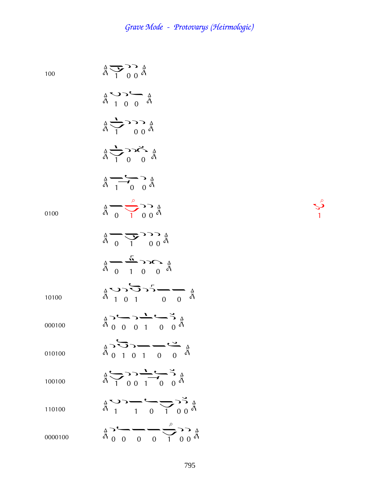100  $\frac{4}{3}$   $\frac{1}{1}$   $\frac{1}{0}$   $\frac{4}{9}$  $\begin{array}{c}\n\stackrel{\Delta}{\circ} & \stackrel{\sim}{\circ} & \stackrel{\Delta}{\circ} \\
\stackrel{\Delta}{\circ} & 1 & 0 & 0\n\end{array}$  $\frac{4}{9}$   $\frac{1}{1}$   $\frac{6}{9}$   $\frac{4}{9}$  $\overrightarrow{a}$   $\overrightarrow{1}$   $\overrightarrow{0}$   $\overrightarrow{a}$  $\frac{4}{9}$   $\frac{1}{1}$   $\frac{6}{9}$   $\frac{4}{9}$ 0100  $\frac{1}{9}$   $\frac{1}{1}$   $\frac{1}{9}$   $\frac{1}{9}$   $\frac{1}{9}$ ¢  $\frac{4}{9}$   $\frac{1}{1}$   $\frac{1}{9}$   $\frac{4}{9}$  $\frac{1}{4}$   $\frac{1}{4}$   $\frac{1}{4}$   $\frac{1}{4}$   $\frac{1}{4}$   $\frac{1}{4}$   $\frac{1}{4}$ 10100  $\frac{4}{9}$   $\frac{5}{1}$   $\frac{6}{1}$   $\frac{6}{1}$   $\frac{6}{1}$   $\frac{8}{1}$ 000100 ¦¤¦¢¤¦ 010100  $\sum_{\substack{\alpha\\ \beta\\ \beta}} \sum_{\substack{\beta\\ \beta\\ \beta}} \sum_{\substack{\beta\\ \beta\\ \beta}} \sum_{\substack{\beta\\ \beta\\ \beta\\ \beta}} \sum_{\substack{\beta\\ \beta\\ \beta\\ \beta}} \sum_{\substack{\beta\\ \beta\\ \beta\\ \beta}} \sum_{\substack{\beta\\ \beta\\ \beta\\ \beta}} \sum_{\substack{\beta\\ \beta\\ \beta\\ \beta}} \sum_{\substack{\beta\\ \beta\\ \beta\\ \beta}} \sum_{\substack{\beta\\ \beta\\ \beta\\ \beta\\ \beta}} \sum_{\substack{\beta\\ \beta\\ \beta\\ \beta\\ \beta}} \sum_{\substack{\beta\\ \beta\\ \beta\\ \beta\\ \beta\\ \beta}} \$ 100100  $\frac{4}{9}$   $\frac{1}{1}$   $\frac{1}{0}$   $\frac{1}{1}$   $\frac{1}{0}$   $\frac{1}{9}$   $\frac{1}{9}$ 110100  $\frac{4}{9}$   $\frac{4}{1}$   $\frac{4}{1}$   $\frac{4}{1}$   $\frac{4}{1}$   $\frac{4}{1}$   $\frac{4}{1}$   $\frac{4}{1}$   $\frac{4}{1}$   $\frac{4}{1}$ 0000100  $\frac{4}{9}$  0 0 0 0 1 0 0  $\frac{4}{9}$ ֪ׅ֪ׅ֡֬֝֬֝֟֝֬֝֬֝֬֝֝֬֝֬֝֬֝֬֝֬֝֬֝**֟** 

 $\mathcal{S}$ ֞֘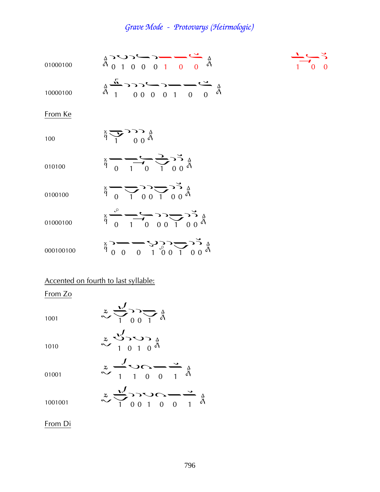| 01000100  | $\frac{1}{4}$ $\frac{1}{2}$ $\frac{1}{2}$ $\frac{1}{2}$ $\frac{1}{2}$ $\frac{1}{2}$ $\frac{1}{2}$ $\frac{1}{2}$ $\frac{1}{2}$ $\frac{1}{2}$ $\frac{1}{2}$ $\frac{1}{2}$ $\frac{1}{2}$ $\frac{1}{2}$ $\frac{1}{2}$ $\frac{1}{2}$ $\frac{1}{2}$ $\frac{1}{2}$ $\frac{1}{2}$ $\frac{1}{2}$ $\frac{1}{2}$ $\frac{1}{2}$ |  |
|-----------|---------------------------------------------------------------------------------------------------------------------------------------------------------------------------------------------------------------------------------------------------------------------------------------------------------------------|--|
| 10000100  | $\frac{1}{4} \frac{1}{4} 0000100 \frac{1}{4}$                                                                                                                                                                                                                                                                       |  |
| From Ke   |                                                                                                                                                                                                                                                                                                                     |  |
| 100       | $\frac{3}{9}$ $\frac{1}{1}$ $\frac{0}{9}$ $\frac{0}{9}$                                                                                                                                                                                                                                                             |  |
| 010100    | $\frac{1}{9}$ $\frac{1}{9}$ $\frac{1}{9}$ $\frac{1}{9}$ $\frac{1}{9}$ $\frac{1}{9}$ $\frac{1}{9}$ $\frac{1}{9}$ $\frac{1}{9}$                                                                                                                                                                                       |  |
| 0100100   | $\frac{1}{9}$ $\frac{1}{9}$ $\frac{1}{9}$ $\frac{1}{9}$ $\frac{1}{9}$ $\frac{1}{9}$ $\frac{1}{9}$ $\frac{1}{9}$                                                                                                                                                                                                     |  |
| 01000100  | $\frac{1}{4}$ $\frac{5}{1}$ $\frac{1}{1}$ $\frac{1}{1}$ $\frac{1}{1}$ $\frac{1}{1}$ $\frac{1}{1}$ $\frac{1}{1}$ $\frac{1}{1}$ $\frac{1}{1}$ $\frac{1}{1}$ $\frac{1}{1}$ $\frac{1}{1}$ $\frac{1}{1}$ $\frac{1}{1}$ $\frac{1}{1}$ $\frac{1}{1}$ $\frac{1}{1}$ $\frac{1}{1}$ $\frac{1}{1}$ $\frac{1}{1}$ $\frac{1}{1}$ |  |
| 000100100 | $\frac{1}{9}$ $\frac{1}{9}$ $\frac{1}{9}$ $\frac{1}{9}$ $\frac{1}{9}$ $\frac{1}{9}$ $\frac{1}{9}$ $\frac{1}{9}$ $\frac{1}{9}$ $\frac{1}{9}$ $\frac{1}{9}$                                                                                                                                                           |  |
|           | Accented on fourth to last syllable:                                                                                                                                                                                                                                                                                |  |

From Zo

1001  $\sim \sqrt[3]{\phantom{0}}\phantom{0}100$ 

| 1010  | $\sim 1010 \AA$                                                                                                                                       |
|-------|-------------------------------------------------------------------------------------------------------------------------------------------------------|
| 01001 | $\begin{array}{c}\n\mathbf{z} & \mathbf{z} & \mathbf{z} \\ \mathbf{z} & \mathbf{z} & \mathbf{z} \\ \mathbf{z} & \mathbf{z} & \mathbf{z}\n\end{array}$ |
|       | $z\rightarrow -\infty$                                                                                                                                |

 $\sim$   $\frac{2}{1001001}$   $\frac{2}{100100}$   $\frac{1}{1001001}$ 

From Di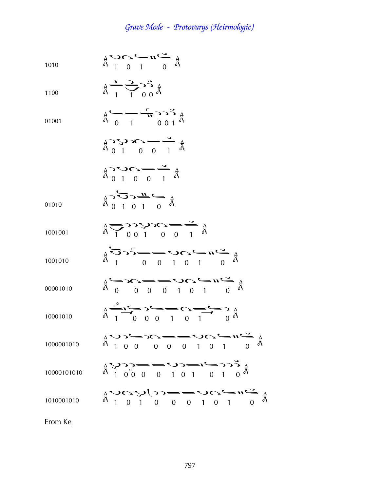$$
\begin{array}{ccc}\n1010 & \stackrel{\text{A}}{\mathbf{a}} & \stackrel{\text{A}}{\mathbf{a}} & \stackrel{\text{A}}{\mathbf{a}} \\
\stackrel{\text{A}}{\mathbf{a}} & 1 & 0 & 1\n\end{array}
$$

$$
\begin{array}{ccc}\n & \frac{\Delta}{\hat{d}} & \frac{\Delta}{\hat{d}} & \frac{\Delta}{\hat{d}} \\
 & \frac{\Delta}{\hat{d}} & \frac{\Delta}{\hat{d}} & \frac{\Delta}{\hat{d}} \\
 & & \frac{\Delta}{\hat{d}} & \frac{\Delta}{\hat{d}} \\
 & & \frac{\Delta}{\hat{d}} & \frac{\Delta}{\hat{d}}\n\end{array}
$$

$$
\begin{array}{ccc}\n & \Delta & \Delta & \Delta \\
 & \Delta & \Delta & \Delta \\
 & \Delta & 0 & 1\n\end{array}
$$

$$
\begin{array}{ccc}\n\stackrel{\wedge}{\mathbf{A}} & \mathbf{C} & \mathbf{C} & \mathbf{C} \\
\stackrel{\wedge}{\mathbf{A}} & \mathbf{0} & \mathbf{0} & \mathbf{0} & \mathbf{0}\n\end{array}
$$

$$
\mathop{\mathbb{A}}\limits^{\mathop{\mathbb{A}}}_{\mathop{\mathbb{A}}\limits^{\mathop{\mathbb{A}}}_{0\ 1\ 0\ 0\ 0\ 1}
$$

01010 
$$
\qquad \qquad \frac{1}{4} \sum_{1}^{3} \sum_{1}^{3} \frac{11}{1} \qquad \qquad \frac{1}{9}
$$

1001001 
$$
\frac{A}{A} \sum_{1} 0 0 1 0 0 1 \stackrel{A}{\sim} 0
$$

1001010 Þ ¤¤Þà¢¤

$$
\hat{A} \longrightarrow 0 \qquad \qquad \hat{A} \longrightarrow 0 \qquad \qquad \hat{A} \longrightarrow 0 \qquad \qquad \hat{A} \qquad \qquad \hat{A}
$$

10001010 ¢ ¤ ¦¤¢à¢¦

1000001010 Þ¦¤à¤¤Þà¢¤

Þ¦¦ ¤¤Þ¦¢¤°¦

$$
10000101010\\
$$

$$
f_{\rm{max}}
$$

1010001010 ÞàÞ¦¤¤Þà¢¤

From Ke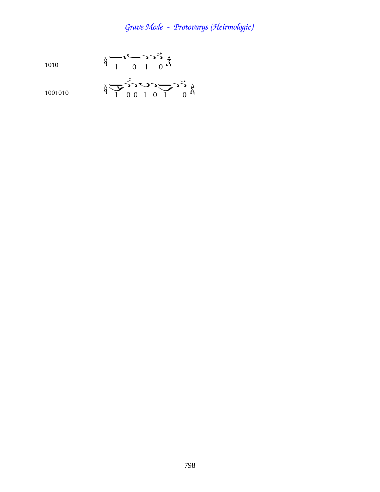1001010 
$$
\frac{x}{9} = \sum_{1}^{9} 10010
$$
 0 1 0 1 0 0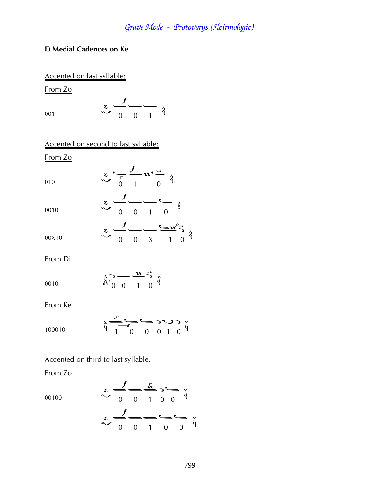#### **E) Medial Cadences on Ke**

Accented on last syllable:

From Zo

$$
\begin{array}{ccc}\nz & \frac{J}{0} & \frac{x}{1} & \frac{x}{1} \\
\end{array}
$$

Accented on second to last syllable:

From Zo

$$
\begin{array}{ccc}\n & z & -1 & \sqrt{2} & \sqrt{2} \\
 & \sqrt{2} & 0 & 1 & 0 \\
 & & \sqrt{2} & 0 & 1\n\end{array}
$$

0010  
\n
$$
\frac{z}{\sqrt{0}} - \frac{1}{0} - \frac{z}{0} = \frac{z}{4}
$$
\n
$$
\frac{z}{0} - \frac{1}{0} - \frac{z}{4} = \frac{z}{4}
$$

From Di

$$
\begin{array}{ccc}\n& \Delta & \longrightarrow & \mathbf{M} & \rightarrow & \times \\
& \Delta & \longrightarrow & \mathbf{M} & \rightarrow & \times \\
& \Delta & \longrightarrow & \mathbf{M} & \rightarrow & \mathbf{M} \\
& \Delta & \longrightarrow & \mathbf{M} & \rightarrow & \mathbf{M} \\
& \Delta & \longrightarrow & \mathbf{M} & \rightarrow & \mathbf{M} \\
& \Delta & \longrightarrow & \mathbf{M} & \rightarrow & \mathbf{M} \\
& \Delta & \longrightarrow & \mathbf{M} & \rightarrow & \mathbf{M} \\
& \Delta & \longrightarrow & \mathbf{M} & \rightarrow & \mathbf{M} \\
& \Delta & \longrightarrow & \mathbf{M} & \rightarrow & \mathbf{M} & \rightarrow \\
& \Delta & \longrightarrow & \mathbf{M} & \rightarrow & \mathbf{M} & \rightarrow \\
& \Delta & \longrightarrow & \mathbf{M} & \rightarrow & \mathbf{M} & \rightarrow \\
& \Delta & \longrightarrow & \mathbf{M} & \rightarrow & \mathbf{M} & \rightarrow \\
& \Delta & \longrightarrow & \mathbf{M} & \rightarrow & \mathbf{M} & \rightarrow \\
& \Delta & \longrightarrow & \mathbf{M} & \rightarrow & \mathbf{M} & \rightarrow \\
& \Delta & \longrightarrow & \mathbf{M} & \rightarrow & \mathbf{M} & \rightarrow \\
& \Delta & \longrightarrow & \mathbf{M} & \rightarrow & \mathbf{M} & \rightarrow \\
& \Delta & \longrightarrow & \mathbf{M} & \rightarrow & \mathbf{M} & \rightarrow \\
& \Delta & \longrightarrow & \mathbf{M} & \rightarrow & \mathbf{M} & \rightarrow \\
& \Delta & \longrightarrow & \mathbf{M} & \rightarrow & \mathbf{M} & \rightarrow \\
& \Delta & \longrightarrow & \mathbf{M} & \rightarrow & \mathbf{M} & \rightarrow \\
& \Delta & \longrightarrow & \mathbf{M} &
$$

From Ke

$$
\frac{100010}{9} \frac{1}{1000} \sum_{0}^{\infty} 0.00010 \frac{1}{9}
$$

#### Accented on third to last syllable:

From Zo

00100 
$$
\begin{array}{c}\n z \\
 \sim \overline{\smash{\big)}\ 0} \\
 \sim \overline{\smash{\big)}\ 0} \\
 \sim \overline{\smash{\big)}\ 0} \\
 \sim \overline{\smash{\big)}\ 0} \\
 \sim \overline{\smash{\big)}\ 0} \\
 \sim \overline{\smash{\big)}\ 0} \\
 \sim \overline{\smash{\big)}\ 0} \\
 \sim \overline{\smash{\big)}\ 0} \\
 \sim \overline{\smash{\big)}\ 0} \\
 \sim \overline{\smash{\big)}\ 0} \\
 \sim \overline{\smash{\big)}\ 0} \\
 \sim \overline{\smash{\big)}\ 0} \\
 \sim \overline{\smash{\big)}\ 0} \\
 \sim \overline{\smash{\big)}\ 0} \\
 \sim \overline{\smash{\big)}\ 0} \\
 \sim \overline{\smash{\big)}\ 0} \\
 \sim \overline{\smash{\big\{0\}}\ 0} \\
 \sim \overline{\smash{\big\{0\}}\ 0} \\
 \sim \overline{\smash{\big\{0\}}\ 0} \\
 \sim \overline{\smash{\big\{0\}}\ 0} \\
 \sim \overline{\smash{\big\{0\}}\ 0} \\
 \sim \overline{\smash{\big\{0\}}\ 0} \\
 \sim \overline{\smash{\big\{0\}}\ 0} \\
 \sim \overline{\smash{\big\{0\}}\ 0} \\
 \sim \overline{\smash{\big\{0\}}\ 0} \\
 \sim \overline{\smash{\big\{0\}}\ 0} \\
 \sim \overline{\smash{\big\{0\}}\ 0} \\
 \sim \overline{\smash{\big\{0\}}\ 0} \\
 \sim \overline{\smash{\big\{0\}}\ 0} \\
 \sim \overline{\smash{\big\{0\}}\ 0} \\
 \sim \overline{\smash{\big\{0\}}\ 0} \\
 \sim \overline{\smash{\big\{0\}}\ 0} \\
 \sim \overline{\smash{\big\{0\}}\ 0} \\
 \sim \overline{\smash{\big\{0\}}\ 0} \\
 \sim \overline{\smash{\big\{0\}}\ 0} \\
 \sim \overline{\smash{\big\{0\}}\ 0} \\
 \sim \overline{\smash{\big\{0\}}\ 0} \\
 \sim \overline{\smash{\big\{0\}}\ 0} \\
 \sim \overline{\smash{\big\{0\}}\ 0} \\
 \sim \overline{\smash{\big\{0\}}\ 0} \\
 \sim \overline{\smash{\
$$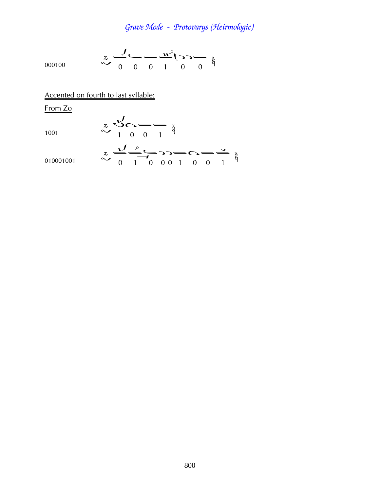$$
\sum_{000100}^{x} \frac{J}{0} \frac{1}{0} \frac{m^3}{0} \sum_{1}^{x} \frac{m^2}{0} \frac{m^3}{0} \frac{m^2}{0}
$$

Accented on fourth to last syllable:

From Zo

$$
1001\\
$$

$$
\begin{array}{c}\nz\\
\sim 100\\
001\\
0\n\end{array}
$$

01001 
$$
z \xrightarrow{1} \frac{1}{\sqrt{2}} \xrightarrow{0} \frac{1}{\sqrt{2}} \xrightarrow{0} \frac{1}{\sqrt{2}} \xrightarrow{0} \frac{1}{\sqrt{2}} \xrightarrow{1} \frac{1}{\sqrt{2}}
$$

01000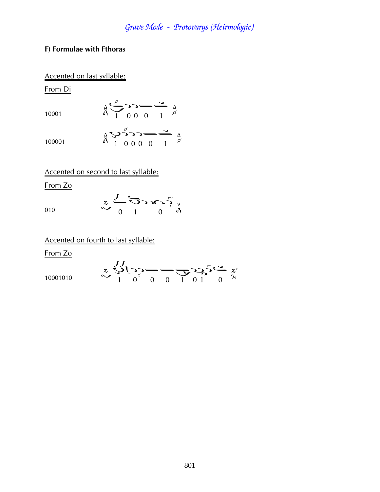#### F) Formulae with Fthoras

#### Accented on last syllable:

From Di

10001

$$
\frac{1}{4} \sum_{1}^{5} 33 - \frac{3}{1} \sum_{\beta}^{4}
$$

100001

 $^{4}_{A}$   $\bigvee_{1}^{5}_{0}$  000 0 1  $^{4}_{6}$ 

Accented on second to last syllable:

From Zo

$$
\begin{array}{ccc}\n & z & \stackrel{\mathcal{J}}{\longrightarrow} & \stackrel{\mathcal{J}}{\longrightarrow} & \stackrel{\mathcal{J}}{\longrightarrow} & \stackrel{\mathcal{J}}{\longrightarrow} & \stackrel{\mathcal{J}}{\longrightarrow} & \stackrel{\mathcal{J}}{\longrightarrow} & \stackrel{\mathcal{J}}{\longrightarrow} & \stackrel{\mathcal{J}}{\longrightarrow} & \stackrel{\mathcal{J}}{\longrightarrow} & \stackrel{\mathcal{J}}{\longrightarrow} & \stackrel{\mathcal{J}}{\longrightarrow} & \stackrel{\mathcal{J}}{\longrightarrow} & \stackrel{\mathcal{J}}{\longrightarrow} & \stackrel{\mathcal{J}}{\longrightarrow} & \stackrel{\mathcal{J}}{\longrightarrow} & \stackrel{\mathcal{J}}{\longrightarrow} & \stackrel{\mathcal{J}}{\longrightarrow} & \stackrel{\mathcal{J}}{\longrightarrow} & \stackrel{\mathcal{J}}{\longrightarrow} & \stackrel{\mathcal{J}}{\longrightarrow} & \stackrel{\mathcal{J}}{\longrightarrow} & \stackrel{\mathcal{J}}{\longrightarrow} & \stackrel{\mathcal{J}}{\longrightarrow} & \stackrel{\mathcal{J}}{\longrightarrow} & \stackrel{\mathcal{J}}{\longrightarrow} & \stackrel{\mathcal{J}}{\longrightarrow} & \stackrel{\mathcal{J}}{\longrightarrow} & \stackrel{\mathcal{J}}{\longrightarrow} & \stackrel{\mathcal{J}}{\longrightarrow} & \stackrel{\mathcal{J}}{\longrightarrow} & \stackrel{\mathcal{J}}{\longrightarrow} & \stackrel{\mathcal{J}}{\longrightarrow} & \stackrel{\mathcal{J}}{\longrightarrow} & \stackrel{\mathcal{J}}{\longrightarrow} & \stackrel{\mathcal{J}}{\longrightarrow} & \stackrel{\mathcal{J}}{\longrightarrow} & \stackrel{\mathcal{J}}{\longrightarrow} & \stackrel{\mathcal{J}}{\longrightarrow} & \stackrel{\mathcal{J}}{\longrightarrow} & \stackrel{\mathcal{J}}{\longrightarrow} & \stackrel{\mathcal{J}}{\longrightarrow} & \stackrel{\mathcal{J}}{\longrightarrow} & \stackrel{\mathcal{J}}{\longrightarrow} & \stackrel{\mathcal{J}}{\longrightarrow} & \stackrel{\mathcal{J}}{\longrightarrow} & \stackrel{\mathcal{J}}{\longrightarrow} & \stackrel{\mathcal{J}}{\longrightarrow} & \stackrel{\mathcal{J}}{\longrightarrow} & \stackrel{\mathcal{J}}{\longrightarrow} & \stackrel{\mathcal{J}}{\longrightarrow} & \stackrel{\mathcal{J}}{\longrightarrow} & \stackrel{\mathcal{J}}{\longrightarrow} & \stackrel{\mathcal{J}}{\longrightarrow} & \stackrel{\mathcal{J}}{\longrightarrow} & \stackrel{\mathcal{J}}{\longrightarrow} & \stackrel{\mathcal{J}}{\longrightarrow} & \stackrel{\mathcal{J}}{\longrightarrow} & \stackrel{\mathcal{J
$$

### Accented on fourth to last syllable:

From Zo

 $z \searrow 1$ <br> $\sqrt[3]{1}$ <br> $\sqrt[3]{2}$ <br> $0$ <br> $0$ <br> $1$ <br> $01$ <br> $0 \times$ 10001010